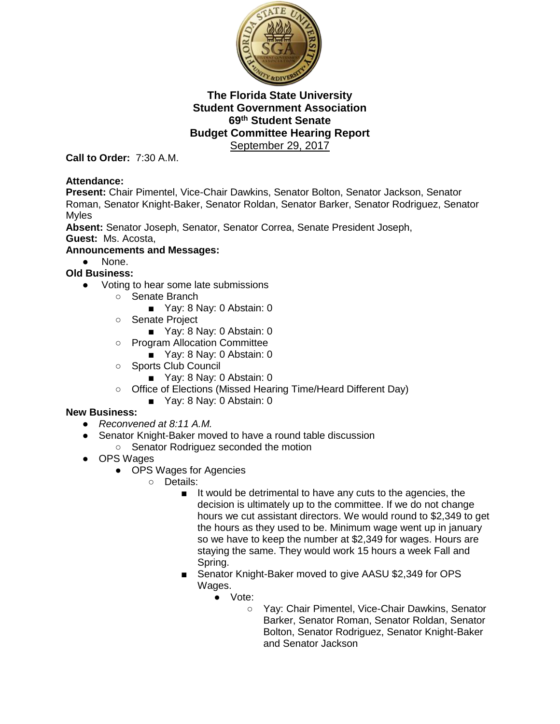

**Call to Order:** 7:30 A.M.

#### **Attendance:**

**Present:** Chair Pimentel, Vice-Chair Dawkins, Senator Bolton, Senator Jackson, Senator Roman, Senator Knight-Baker, Senator Roldan, Senator Barker, Senator Rodriguez, Senator Myles

**Absent:** Senator Joseph, Senator, Senator Correa, Senate President Joseph, **Guest:** Ms. Acosta,

#### **Announcements and Messages:**

● None.

**Old Business:**

- Voting to hear some late submissions
	- Senate Branch
		- Yay: 8 Nay: 0 Abstain: 0
	- Senate Project
		- Yay: 8 Nay: 0 Abstain: 0
	- Program Allocation Committee
		- Yay: 8 Nay: 0 Abstain: 0
	- Sports Club Council
		- Yay: 8 Nay: 0 Abstain: 0
	- Office of Elections (Missed Hearing Time/Heard Different Day)
		- Yay: 8 Nay: 0 Abstain: 0

#### **New Business:**

- *Reconvened at 8:11 A.M.*
- Senator Knight-Baker moved to have a round table discussion
	- Senator Rodriguez seconded the motion
- OPS Wages
	- OPS Wages for Agencies
		- Details:
			- It would be detrimental to have any cuts to the agencies, the decision is ultimately up to the committee. If we do not change hours we cut assistant directors. We would round to \$2,349 to get the hours as they used to be. Minimum wage went up in january so we have to keep the number at \$2,349 for wages. Hours are staying the same. They would work 15 hours a week Fall and Spring.
			- Senator Knight-Baker moved to give AASU \$2,349 for OPS Wages.
				- Vote:
					- Yay: Chair Pimentel, Vice-Chair Dawkins, Senator Barker, Senator Roman, Senator Roldan, Senator Bolton, Senator Rodriguez, Senator Knight-Baker and Senator Jackson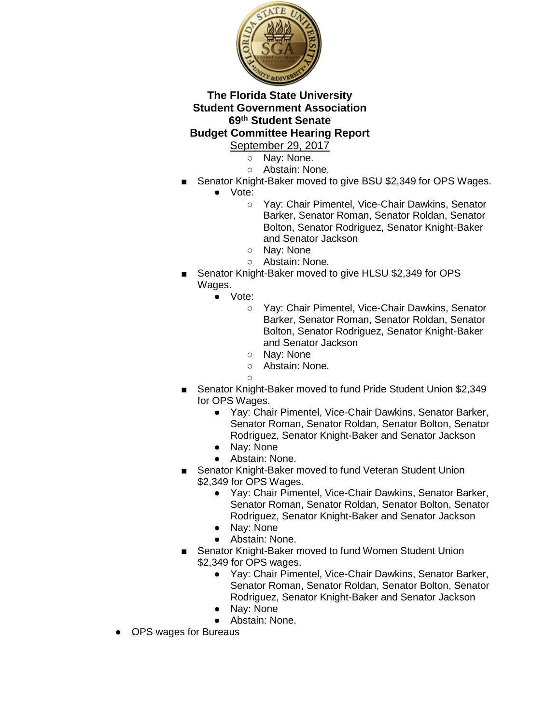

# **Budget Committee Hearing Report**

- September 29, 2017
	- Nay: None.
	- Abstain: None.
- Senator Knight-Baker moved to give BSU \$2,349 for OPS Wages.
	- Vote:
		- Yay: Chair Pimentel, Vice-Chair Dawkins, Senator Barker, Senator Roman, Senator Roldan, Senator Bolton, Senator Rodriguez, Senator Knight-Baker and Senator Jackson
		- Nay: None
		- Abstain: None.
- Senator Knight-Baker moved to give HLSU \$2,349 for OPS Wages.
	- Vote:
		- Yay: Chair Pimentel, Vice-Chair Dawkins, Senator Barker, Senator Roman, Senator Roldan, Senator Bolton, Senator Rodriguez, Senator Knight-Baker and Senator Jackson
		- Nay: None
		- Abstain: None.
		- $\bigcap$
- Senator Knight-Baker moved to fund Pride Student Union \$2,349 for OPS Wages.
	- Yay: Chair Pimentel, Vice-Chair Dawkins, Senator Barker, Senator Roman, Senator Roldan, Senator Bolton, Senator Rodriguez, Senator Knight-Baker and Senator Jackson
	- Nay: None
	- Abstain: None.
- Senator Knight-Baker moved to fund Veteran Student Union \$2,349 for OPS Wages.
	- Yay: Chair Pimentel, Vice-Chair Dawkins, Senator Barker, Senator Roman, Senator Roldan, Senator Bolton, Senator Rodriguez, Senator Knight-Baker and Senator Jackson
	- Nay: None
	- Abstain: None.
- Senator Knight-Baker moved to fund Women Student Union \$2,349 for OPS wages.
	- Yay: Chair Pimentel, Vice-Chair Dawkins, Senator Barker, Senator Roman, Senator Roldan, Senator Bolton, Senator Rodriguez, Senator Knight-Baker and Senator Jackson
	- Nay: None
	- Abstain: None.
- OPS wages for Bureaus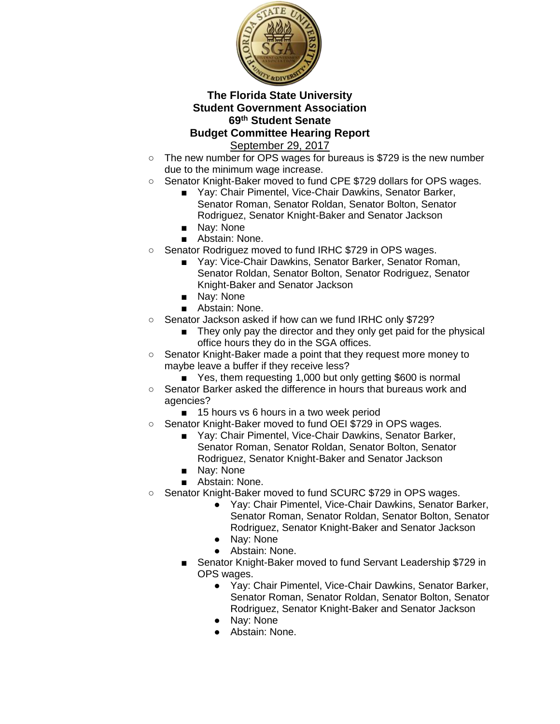

- The new number for OPS wages for bureaus is \$729 is the new number due to the minimum wage increase.
- Senator Knight-Baker moved to fund CPE \$729 dollars for OPS wages.
	- Yay: Chair Pimentel, Vice-Chair Dawkins, Senator Barker, Senator Roman, Senator Roldan, Senator Bolton, Senator Rodriguez, Senator Knight-Baker and Senator Jackson ■ Nay: None
	- Abstain: None.
- Senator Rodriguez moved to fund IRHC \$729 in OPS wages.
	- Yay: Vice-Chair Dawkins, Senator Barker, Senator Roman, Senator Roldan, Senator Bolton, Senator Rodriguez, Senator Knight-Baker and Senator Jackson
	- Nay: None
	- Abstain: None.
- Senator Jackson asked if how can we fund IRHC only \$729?
	- They only pay the director and they only get paid for the physical office hours they do in the SGA offices.
- Senator Knight-Baker made a point that they request more money to maybe leave a buffer if they receive less?
	- Yes, them requesting 1,000 but only getting \$600 is normal
- Senator Barker asked the difference in hours that bureaus work and agencies?
	- 15 hours vs 6 hours in a two week period
- Senator Knight-Baker moved to fund OEI \$729 in OPS wages.
	- Yay: Chair Pimentel, Vice-Chair Dawkins, Senator Barker, Senator Roman, Senator Roldan, Senator Bolton, Senator Rodriguez, Senator Knight-Baker and Senator Jackson
	- Nay: None
	- Abstain: None.
- Senator Knight-Baker moved to fund SCURC \$729 in OPS wages.
	- Yay: Chair Pimentel, Vice-Chair Dawkins, Senator Barker, Senator Roman, Senator Roldan, Senator Bolton, Senator Rodriguez, Senator Knight-Baker and Senator Jackson
	- Nay: None
	- Abstain: None.
	- Senator Knight-Baker moved to fund Servant Leadership \$729 in OPS wages.
		- Yay: Chair Pimentel, Vice-Chair Dawkins, Senator Barker, Senator Roman, Senator Roldan, Senator Bolton, Senator Rodriguez, Senator Knight-Baker and Senator Jackson
		- Nay: None
		- Abstain: None.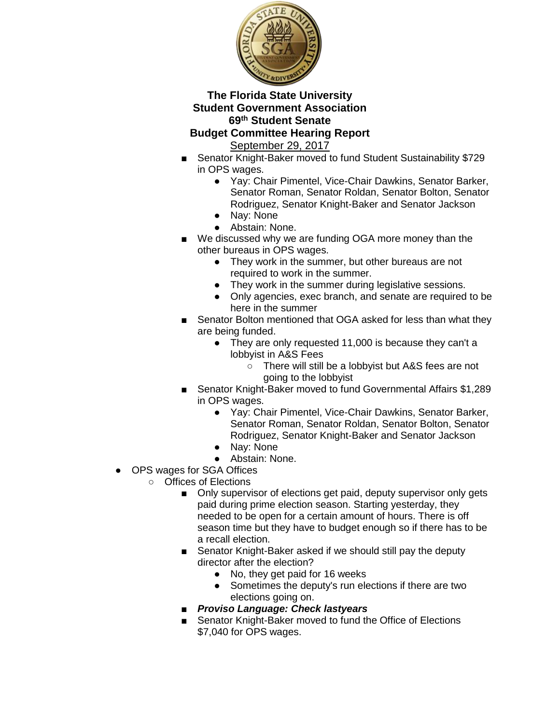

# **Budget Committee Hearing Report**

- Senator Knight-Baker moved to fund Student Sustainability \$729 in OPS wages.
	- Yay: Chair Pimentel, Vice-Chair Dawkins, Senator Barker, Senator Roman, Senator Roldan, Senator Bolton, Senator Rodriguez, Senator Knight-Baker and Senator Jackson
	- Nay: None
	- Abstain: None.
- We discussed why we are funding OGA more money than the other bureaus in OPS wages.
	- They work in the summer, but other bureaus are not required to work in the summer.
	- They work in the summer during legislative sessions.
	- Only agencies, exec branch, and senate are required to be here in the summer
- Senator Bolton mentioned that OGA asked for less than what they are being funded.
	- They are only requested 11,000 is because they can't a lobbyist in A&S Fees
		- There will still be a lobbyist but A&S fees are not going to the lobbyist
- Senator Knight-Baker moved to fund Governmental Affairs \$1,289 in OPS wages.
	- Yay: Chair Pimentel, Vice-Chair Dawkins, Senator Barker, Senator Roman, Senator Roldan, Senator Bolton, Senator Rodriguez, Senator Knight-Baker and Senator Jackson
	- Nay: None
	- Abstain: None.
- OPS wages for SGA Offices
	- Offices of Elections
		- Only supervisor of elections get paid, deputy supervisor only gets paid during prime election season. Starting yesterday, they needed to be open for a certain amount of hours. There is off season time but they have to budget enough so if there has to be a recall election.
		- Senator Knight-Baker asked if we should still pay the deputy director after the election?
			- No, they get paid for 16 weeks
			- Sometimes the deputy's run elections if there are two elections going on.
		- *Proviso Language: Check lastyears*
		- Senator Knight-Baker moved to fund the Office of Elections \$7,040 for OPS wages.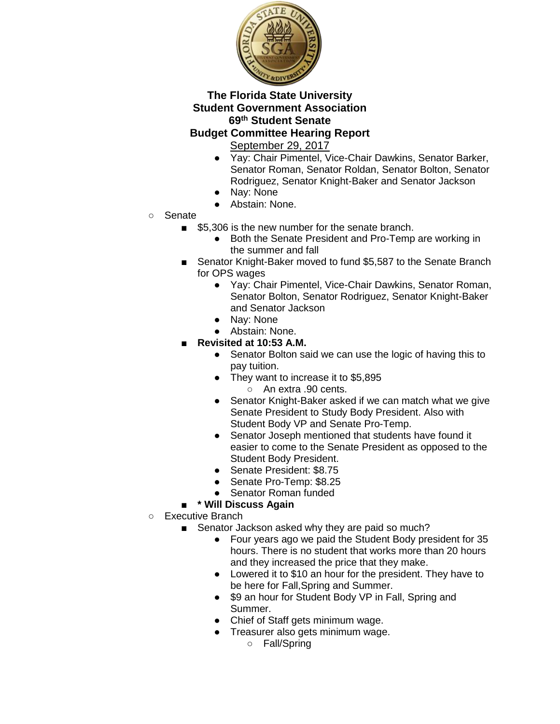

# **Budget Committee Hearing Report**

September 29, 2017

- Yay: Chair Pimentel, Vice-Chair Dawkins, Senator Barker, Senator Roman, Senator Roldan, Senator Bolton, Senator Rodriguez, Senator Knight-Baker and Senator Jackson
- Nay: None
- Abstain: None.
- Senate
	- \$5,306 is the new number for the senate branch.
		- Both the Senate President and Pro-Temp are working in the summer and fall
	- Senator Knight-Baker moved to fund \$5,587 to the Senate Branch for OPS wages
		- Yay: Chair Pimentel, Vice-Chair Dawkins, Senator Roman, Senator Bolton, Senator Rodriguez, Senator Knight-Baker and Senator Jackson
		- Nay: None
		- Abstain: None.
	- **Revisited at 10:53 A.M.** 
		- Senator Bolton said we can use the logic of having this to pay tuition.
		- They want to increase it to \$5,895 ○ An extra .90 cents.
		- Senator Knight-Baker asked if we can match what we give Senate President to Study Body President. Also with Student Body VP and Senate Pro-Temp.
		- Senator Joseph mentioned that students have found it easier to come to the Senate President as opposed to the Student Body President.
		- Senate President: \$8.75
		- Senate Pro-Temp: \$8.25
		- Senator Roman funded

#### ■ **\* Will Discuss Again**

- Executive Branch
	- Senator Jackson asked why they are paid so much?
		- Four years ago we paid the Student Body president for 35 hours. There is no student that works more than 20 hours and they increased the price that they make.
		- Lowered it to \$10 an hour for the president. They have to be here for Fall,Spring and Summer.
		- \$9 an hour for Student Body VP in Fall, Spring and Summer.
		- Chief of Staff gets minimum wage.
		- Treasurer also gets minimum wage.
			- Fall/Spring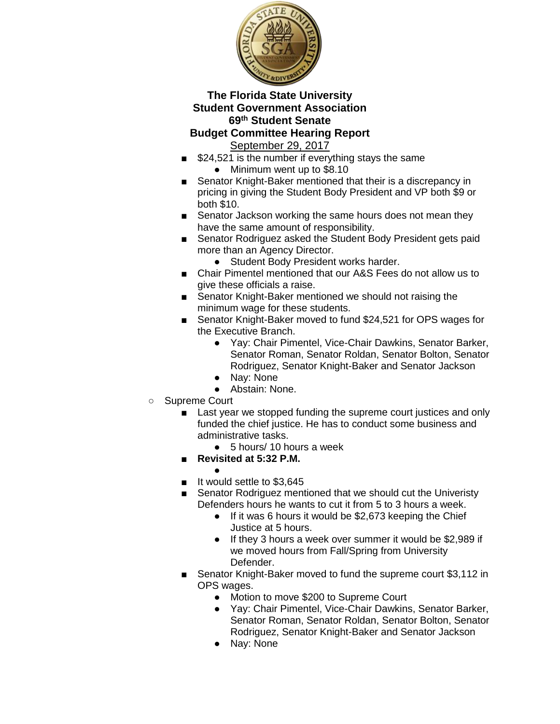

#### **Budget Committee Hearing Report**  September 29, 2017

- \$24,521 is the number if everything stays the same
	- Minimum went up to \$8.10
- Senator Knight-Baker mentioned that their is a discrepancy in pricing in giving the Student Body President and VP both \$9 or both \$10.
- Senator Jackson working the same hours does not mean they have the same amount of responsibility.
- Senator Rodriguez asked the Student Body President gets paid more than an Agency Director.
	- Student Body President works harder.
- Chair Pimentel mentioned that our A&S Fees do not allow us to give these officials a raise.
- Senator Knight-Baker mentioned we should not raising the minimum wage for these students.
- Senator Knight-Baker moved to fund \$24,521 for OPS wages for the Executive Branch.
	- Yay: Chair Pimentel, Vice-Chair Dawkins, Senator Barker, Senator Roman, Senator Roldan, Senator Bolton, Senator Rodriguez, Senator Knight-Baker and Senator Jackson
	- Nay: None
	- Abstain: None.
- Supreme Court
	- Last year we stopped funding the supreme court justices and only funded the chief justice. He has to conduct some business and administrative tasks.
		- $\bullet$  5 hours/ 10 hours a week
	- **Revisited at 5:32 P.M.**
	- ■ It would settle to \$3,645
	- Senator Rodriguez mentioned that we should cut the Univeristy Defenders hours he wants to cut it from 5 to 3 hours a week.
		- If it was 6 hours it would be \$2,673 keeping the Chief Justice at 5 hours.
		- If they 3 hours a week over summer it would be \$2,989 if we moved hours from Fall/Spring from University Defender.
	- Senator Knight-Baker moved to fund the supreme court \$3,112 in OPS wages.
		- Motion to move \$200 to Supreme Court
		- Yay: Chair Pimentel, Vice-Chair Dawkins, Senator Barker, Senator Roman, Senator Roldan, Senator Bolton, Senator Rodriguez, Senator Knight-Baker and Senator Jackson
		- Nay: None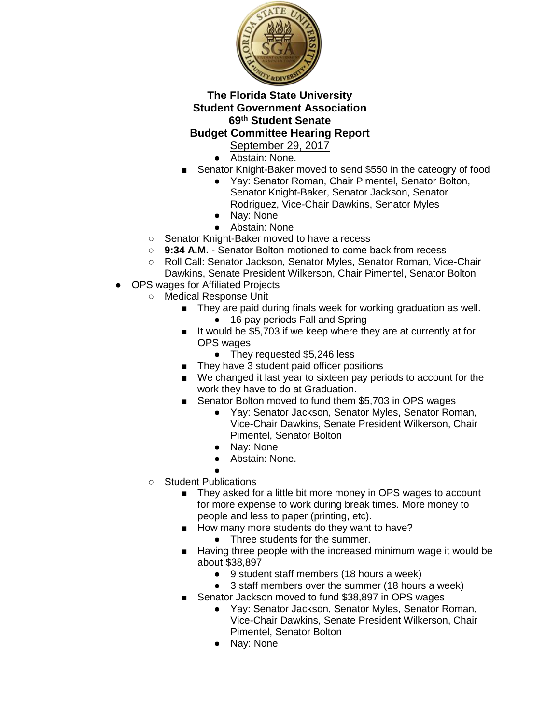

- Abstain: None.
- Senator Knight-Baker moved to send \$550 in the cateogry of food
	- Yay: Senator Roman, Chair Pimentel, Senator Bolton, Senator Knight-Baker, Senator Jackson, Senator Rodriguez, Vice-Chair Dawkins, Senator Myles
	- Nay: None
	- Abstain: None
- Senator Knight-Baker moved to have a recess
- **9:34 A.M.**  Senator Bolton motioned to come back from recess
- Roll Call: Senator Jackson, Senator Myles, Senator Roman, Vice-Chair Dawkins, Senate President Wilkerson, Chair Pimentel, Senator Bolton
- OPS wages for Affiliated Projects
	- Medical Response Unit
		- They are paid during finals week for working graduation as well.
			- 16 pay periods Fall and Spring
		- It would be \$5,703 if we keep where they are at currently at for OPS wages
			- They requested \$5,246 less
		- They have 3 student paid officer positions
		- We changed it last year to sixteen pay periods to account for the work they have to do at Graduation.
		- Senator Bolton moved to fund them \$5,703 in OPS wages
			- Yay: Senator Jackson, Senator Myles, Senator Roman, Vice-Chair Dawkins, Senate President Wilkerson, Chair Pimentel, Senator Bolton
			- Nay: None
			- Abstain: None.
			- ●
		- Student Publications
			- They asked for a little bit more money in OPS wages to account for more expense to work during break times. More money to people and less to paper (printing, etc).
			- How many more students do they want to have?
				- Three students for the summer.
			- Having three people with the increased minimum wage it would be about \$38,897
				- 9 student staff members (18 hours a week)
				- 3 staff members over the summer (18 hours a week)
			- Senator Jackson moved to fund \$38,897 in OPS wages
				- Yay: Senator Jackson, Senator Myles, Senator Roman, Vice-Chair Dawkins, Senate President Wilkerson, Chair Pimentel, Senator Bolton
				- Nay: None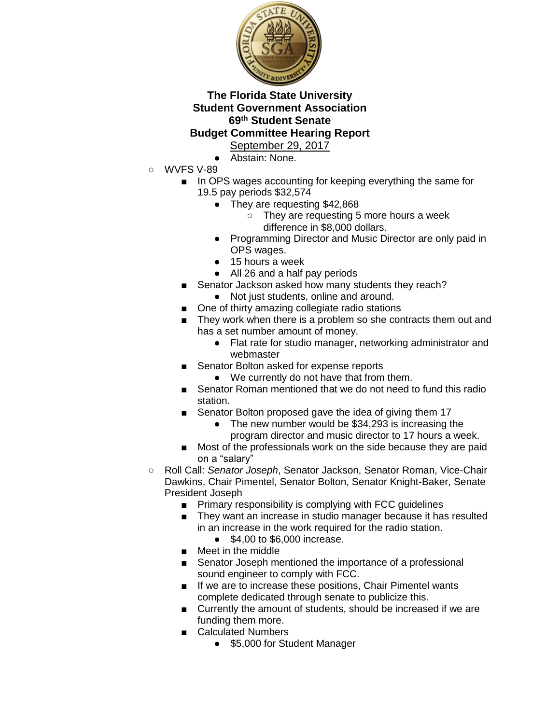

- Abstain: None.
- WVFS V-89
	- In OPS wages accounting for keeping everything the same for 19.5 pay periods \$32,574
		- They are requesting \$42,868
			- They are requesting 5 more hours a week difference in \$8,000 dollars.
		- Programming Director and Music Director are only paid in OPS wages.
		- 15 hours a week
		- All 26 and a half pay periods
		- Senator Jackson asked how many students they reach?
		- Not just students, online and around.
	- One of thirty amazing collegiate radio stations
	- They work when there is a problem so she contracts them out and has a set number amount of money.
		- Flat rate for studio manager, networking administrator and webmaster
	- Senator Bolton asked for expense reports
		- We currently do not have that from them.
	- Senator Roman mentioned that we do not need to fund this radio station.
	- Senator Bolton proposed gave the idea of giving them 17
		- The new number would be \$34,293 is increasing the program director and music director to 17 hours a week.
	- Most of the professionals work on the side because they are paid on a "salary"
- Roll Call: *Senator Joseph*, Senator Jackson, Senator Roman, Vice-Chair Dawkins, Chair Pimentel, Senator Bolton, Senator Knight-Baker, Senate President Joseph
	- Primary responsibility is complying with FCC guidelines
	- They want an increase in studio manager because it has resulted in an increase in the work required for the radio station.
		- \$4,00 to \$6,000 increase.
	- Meet in the middle
	- Senator Joseph mentioned the importance of a professional sound engineer to comply with FCC.
	- If we are to increase these positions, Chair Pimentel wants complete dedicated through senate to publicize this.
	- Currently the amount of students, should be increased if we are funding them more.
	- Calculated Numbers
		- \$5,000 for Student Manager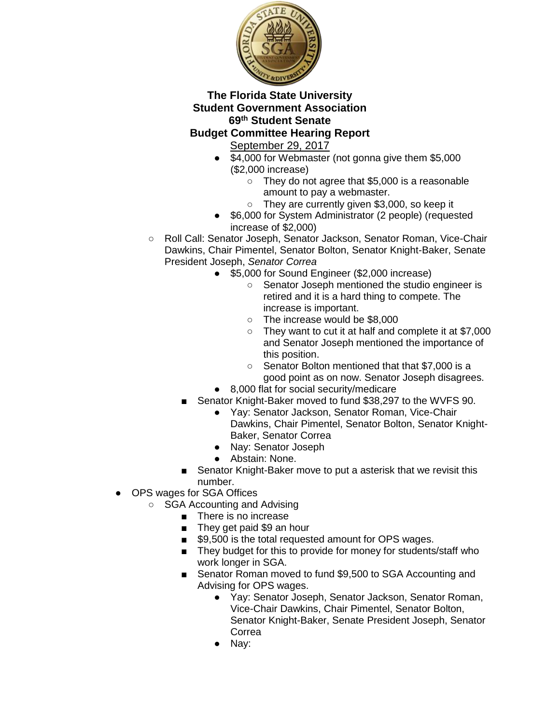

# **Budget Committee Hearing Report**

- \$4,000 for Webmaster (not gonna give them \$5,000 (\$2,000 increase)
	- They do not agree that \$5,000 is a reasonable amount to pay a webmaster.
	- They are currently given \$3,000, so keep it
- \$6,000 for System Administrator (2 people) (requested increase of \$2,000)
- Roll Call: Senator Joseph, Senator Jackson, Senator Roman, Vice-Chair Dawkins, Chair Pimentel, Senator Bolton, Senator Knight-Baker, Senate President Joseph, *Senator Correa*
	- \$5,000 for Sound Engineer (\$2,000 increase)
		- Senator Joseph mentioned the studio engineer is retired and it is a hard thing to compete. The increase is important.
		- The increase would be \$8,000
		- They want to cut it at half and complete it at \$7,000 and Senator Joseph mentioned the importance of this position.
		- Senator Bolton mentioned that that \$7,000 is a good point as on now. Senator Joseph disagrees.
	- 8,000 flat for social security/medicare
	- Senator Knight-Baker moved to fund \$38,297 to the WVFS 90.
		- Yay: Senator Jackson, Senator Roman, Vice-Chair Dawkins, Chair Pimentel, Senator Bolton, Senator Knight-Baker, Senator Correa
		- Nay: Senator Joseph
		- Abstain: None.
	- Senator Knight-Baker move to put a asterisk that we revisit this number.
- OPS wages for SGA Offices
	- SGA Accounting and Advising
		- There is no increase
		- They get paid \$9 an hour
		- \$9,500 is the total requested amount for OPS wages.
		- They budget for this to provide for money for students/staff who work longer in SGA.
		- Senator Roman moved to fund \$9,500 to SGA Accounting and Advising for OPS wages.
			- Yay: Senator Joseph, Senator Jackson, Senator Roman, Vice-Chair Dawkins, Chair Pimentel, Senator Bolton, Senator Knight-Baker, Senate President Joseph, Senator Correa
			- Nay: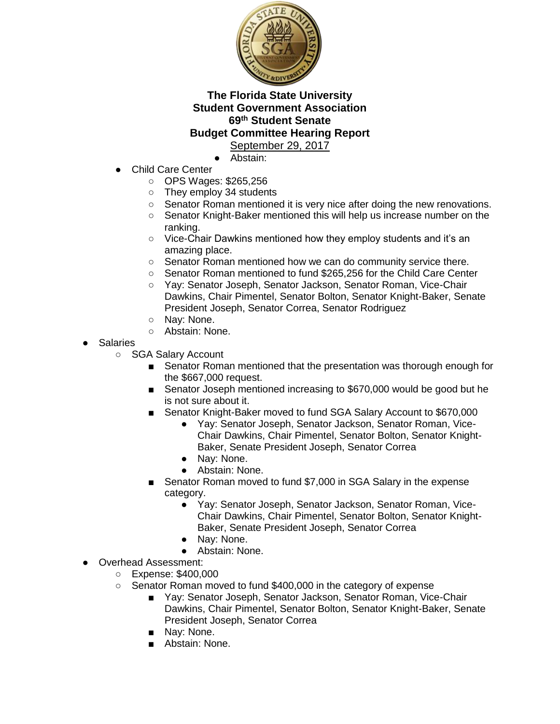

- Abstain:
- **Child Care Center** 
	- OPS Wages: \$265,256
	- They employ 34 students
	- Senator Roman mentioned it is very nice after doing the new renovations.
	- Senator Knight-Baker mentioned this will help us increase number on the ranking.
	- Vice-Chair Dawkins mentioned how they employ students and it's an amazing place.
	- Senator Roman mentioned how we can do community service there.
	- Senator Roman mentioned to fund \$265,256 for the Child Care Center
	- Yay: Senator Joseph, Senator Jackson, Senator Roman, Vice-Chair Dawkins, Chair Pimentel, Senator Bolton, Senator Knight-Baker, Senate President Joseph, Senator Correa, Senator Rodriguez
	- Nav: None.
	- Abstain: None.
- Salaries
	- SGA Salary Account
		- Senator Roman mentioned that the presentation was thorough enough for the \$667,000 request.
		- Senator Joseph mentioned increasing to \$670,000 would be good but he is not sure about it.
		- Senator Knight-Baker moved to fund SGA Salary Account to \$670,000
			- Yay: Senator Joseph, Senator Jackson, Senator Roman, Vice-Chair Dawkins, Chair Pimentel, Senator Bolton, Senator Knight-Baker, Senate President Joseph, Senator Correa
			- Nay: None.
			- Abstain: None.
		- Senator Roman moved to fund \$7,000 in SGA Salary in the expense category.
			- Yay: Senator Joseph, Senator Jackson, Senator Roman, Vice-Chair Dawkins, Chair Pimentel, Senator Bolton, Senator Knight-Baker, Senate President Joseph, Senator Correa
			- Nay: None.
			- Abstain: None.
- Overhead Assessment:
	- Expense: \$400,000
	- Senator Roman moved to fund \$400,000 in the category of expense
		- Yay: Senator Joseph, Senator Jackson, Senator Roman, Vice-Chair Dawkins, Chair Pimentel, Senator Bolton, Senator Knight-Baker, Senate President Joseph, Senator Correa
		- Nav: None.
		- Abstain: None.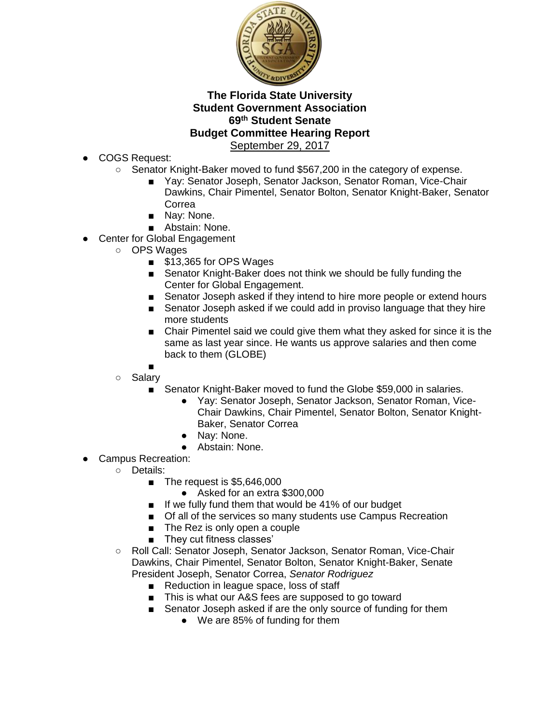

- COGS Request:
	- Senator Knight-Baker moved to fund \$567,200 in the category of expense.
		- Yay: Senator Joseph, Senator Jackson, Senator Roman, Vice-Chair Dawkins, Chair Pimentel, Senator Bolton, Senator Knight-Baker, Senator Correa
		- Nay: None.
		- Abstain: None.
- Center for Global Engagement
	- OPS Wages
		- \$13,365 for OPS Wages
		- Senator Knight-Baker does not think we should be fully funding the Center for Global Engagement.
		- Senator Joseph asked if they intend to hire more people or extend hours
		- Senator Joseph asked if we could add in proviso language that they hire more students
		- Chair Pimentel said we could give them what they asked for since it is the same as last year since. He wants us approve salaries and then come back to them (GLOBE)
		- ■
	- Salary
		- Senator Knight-Baker moved to fund the Globe \$59,000 in salaries.
			- Yay: Senator Joseph, Senator Jackson, Senator Roman, Vice-Chair Dawkins, Chair Pimentel, Senator Bolton, Senator Knight-Baker, Senator Correa
			- Nav: None.
			- Abstain: None.
- Campus Recreation:
	- Details:
		- The request is \$5,646,000
			- Asked for an extra \$300,000
		- If we fully fund them that would be 41% of our budget
		- Of all of the services so many students use Campus Recreation
		- The Rez is only open a couple
		- They cut fitness classes'
	- Roll Call: Senator Joseph, Senator Jackson, Senator Roman, Vice-Chair Dawkins, Chair Pimentel, Senator Bolton, Senator Knight-Baker, Senate President Joseph, Senator Correa, *Senator Rodriguez* 
		- Reduction in league space, loss of staff
		- This is what our A&S fees are supposed to go toward
		- Senator Joseph asked if are the only source of funding for them
			- We are 85% of funding for them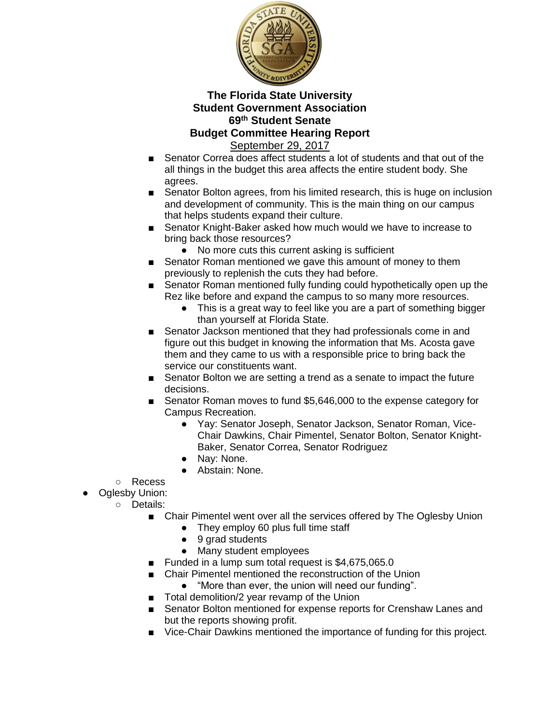

- Senator Correa does affect students a lot of students and that out of the all things in the budget this area affects the entire student body. She agrees.
- Senator Bolton agrees, from his limited research, this is huge on inclusion and development of community. This is the main thing on our campus that helps students expand their culture.
- Senator Knight-Baker asked how much would we have to increase to bring back those resources?
	- No more cuts this current asking is sufficient
- Senator Roman mentioned we gave this amount of money to them previously to replenish the cuts they had before.
- Senator Roman mentioned fully funding could hypothetically open up the Rez like before and expand the campus to so many more resources.
	- This is a great way to feel like you are a part of something bigger than yourself at Florida State.
- Senator Jackson mentioned that they had professionals come in and figure out this budget in knowing the information that Ms. Acosta gave them and they came to us with a responsible price to bring back the service our constituents want.
- Senator Bolton we are setting a trend as a senate to impact the future decisions.
- Senator Roman moves to fund \$5,646,000 to the expense category for Campus Recreation.
	- Yay: Senator Joseph, Senator Jackson, Senator Roman, Vice-Chair Dawkins, Chair Pimentel, Senator Bolton, Senator Knight-Baker, Senator Correa, Senator Rodriguez
	- Nay: None.
	- Abstain: None.
- Recess
- Oglesby Union:
	- Details:
		- Chair Pimentel went over all the services offered by The Oglesby Union
			- They employ 60 plus full time staff
			- 9 grad students
			- Many student employees
		- Funded in a lump sum total request is  $$4,675,065.0$
		- Chair Pimentel mentioned the reconstruction of the Union
			- "More than ever, the union will need our funding".
		- Total demolition/2 year revamp of the Union
		- Senator Bolton mentioned for expense reports for Crenshaw Lanes and but the reports showing profit.
		- Vice-Chair Dawkins mentioned the importance of funding for this project.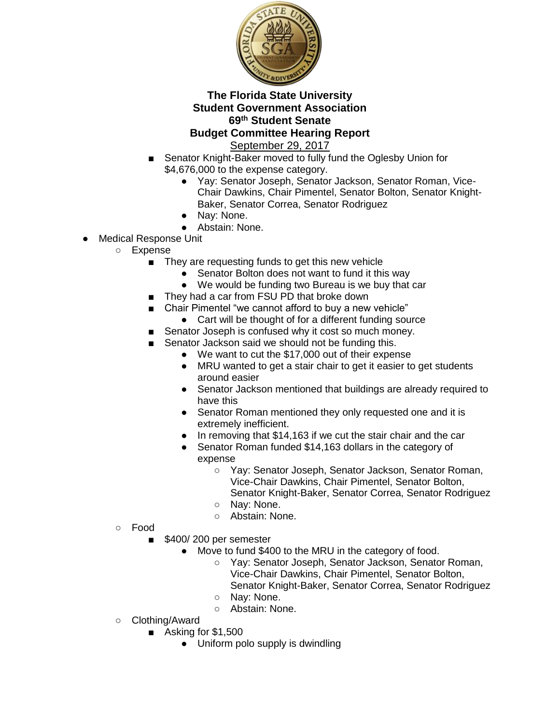

- Senator Knight-Baker moved to fully fund the Oglesby Union for \$4,676,000 to the expense category.
	- Yay: Senator Joseph, Senator Jackson, Senator Roman, Vice-Chair Dawkins, Chair Pimentel, Senator Bolton, Senator Knight-Baker, Senator Correa, Senator Rodriguez
	- Nay: None.
	- Abstain: None.
- Medical Response Unit
	- Expense
		- They are requesting funds to get this new vehicle
			- Senator Bolton does not want to fund it this way
			- We would be funding two Bureau is we buy that car
		- They had a car from FSU PD that broke down
		- Chair Pimentel "we cannot afford to buy a new vehicle"
			- Cart will be thought of for a different funding source
		- Senator Joseph is confused why it cost so much money.
		- Senator Jackson said we should not be funding this.
			- We want to cut the \$17,000 out of their expense
			- MRU wanted to get a stair chair to get it easier to get students around easier
			- Senator Jackson mentioned that buildings are already required to have this
			- Senator Roman mentioned they only requested one and it is extremely inefficient.
			- In removing that \$14,163 if we cut the stair chair and the car
			- Senator Roman funded \$14,163 dollars in the category of expense
				- Yay: Senator Joseph, Senator Jackson, Senator Roman, Vice-Chair Dawkins, Chair Pimentel, Senator Bolton, Senator Knight-Baker, Senator Correa, Senator Rodriguez
				- Nav: None.
				- Abstain: None.
	- Food
- \$400/200 per semester
	- Move to fund \$400 to the MRU in the category of food.
		- Yay: Senator Joseph, Senator Jackson, Senator Roman, Vice-Chair Dawkins, Chair Pimentel, Senator Bolton, Senator Knight-Baker, Senator Correa, Senator Rodriguez
		- Nay: None.
		- Abstain: None.
- Clothing/Award
	- Asking for \$1,500
		- Uniform polo supply is dwindling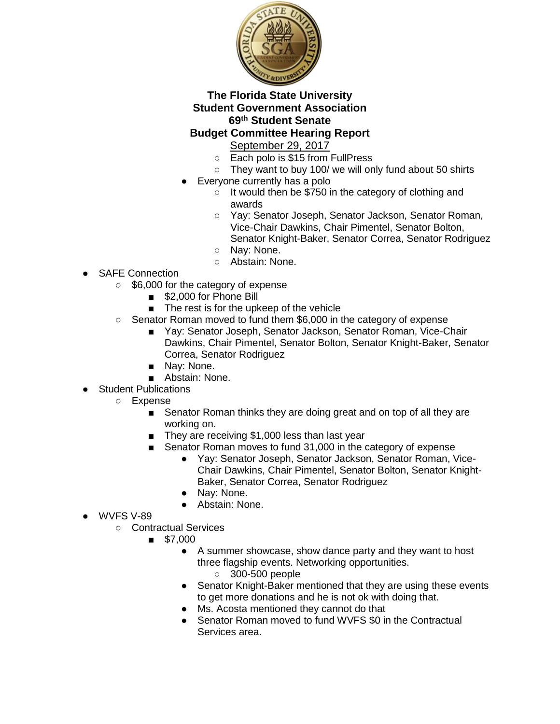

# **Budget Committee Hearing Report**

- September 29, 2017
- Each polo is \$15 from FullPress
- They want to buy 100/ we will only fund about 50 shirts
- Everyone currently has a polo
	- It would then be \$750 in the category of clothing and awards
	- Yay: Senator Joseph, Senator Jackson, Senator Roman, Vice-Chair Dawkins, Chair Pimentel, Senator Bolton, Senator Knight-Baker, Senator Correa, Senator Rodriguez
	- Nay: None.
	- Abstain: None.
- SAFE Connection
	- \$6,000 for the category of expense
		- \$2,000 for Phone Bill
		- The rest is for the upkeep of the vehicle
	- Senator Roman moved to fund them \$6,000 in the category of expense
		- Yay: Senator Joseph, Senator Jackson, Senator Roman, Vice-Chair Dawkins, Chair Pimentel, Senator Bolton, Senator Knight-Baker, Senator Correa, Senator Rodriguez
		- Nay: None.
		- Abstain: None.
	- **Student Publications** 
		- Expense
			- Senator Roman thinks they are doing great and on top of all they are working on.
			- They are receiving \$1,000 less than last year
			- Senator Roman moves to fund 31,000 in the category of expense
				- Yay: Senator Joseph, Senator Jackson, Senator Roman, Vice-Chair Dawkins, Chair Pimentel, Senator Bolton, Senator Knight-Baker, Senator Correa, Senator Rodriguez
				- Nay: None.
				- Abstain: None.
- WVFS V-89
	- Contractual Services
		- \$7,000
			- A summer showcase, show dance party and they want to host three flagship events. Networking opportunities.
				- 300-500 people
			- Senator Knight-Baker mentioned that they are using these events to get more donations and he is not ok with doing that.
			- Ms. Acosta mentioned they cannot do that
			- Senator Roman moved to fund WVFS \$0 in the Contractual Services area.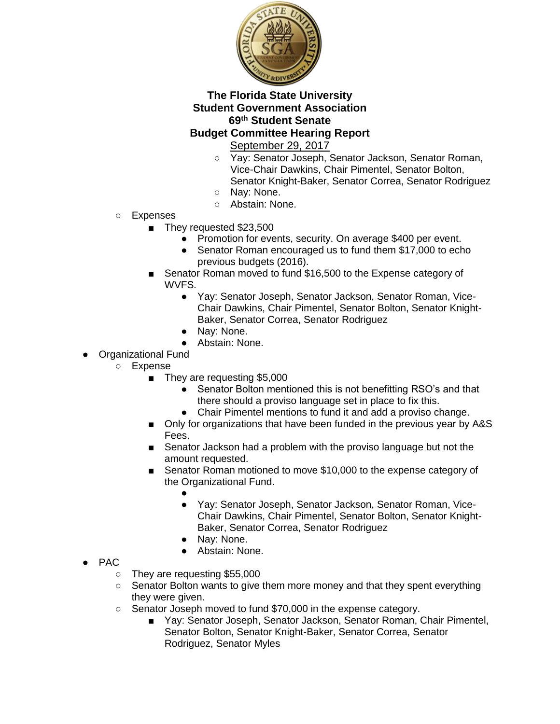

- Yay: Senator Joseph, Senator Jackson, Senator Roman, Vice-Chair Dawkins, Chair Pimentel, Senator Bolton, Senator Knight-Baker, Senator Correa, Senator Rodriguez
- Nay: None.
- Abstain: None.
- Expenses
	- They requested \$23,500
		- Promotion for events, security. On average \$400 per event.
		- Senator Roman encouraged us to fund them \$17,000 to echo previous budgets (2016).
	- Senator Roman moved to fund \$16,500 to the Expense category of WVFS.
		- Yay: Senator Joseph, Senator Jackson, Senator Roman, Vice-Chair Dawkins, Chair Pimentel, Senator Bolton, Senator Knight-Baker, Senator Correa, Senator Rodriguez
		- Nay: None.
		- Abstain: None.
- **Organizational Fund** 
	- Expense
		- They are requesting \$5,000
			- Senator Bolton mentioned this is not benefitting RSO's and that there should a proviso language set in place to fix this.
			- Chair Pimentel mentions to fund it and add a proviso change.
		- Only for organizations that have been funded in the previous year by A&S Fees.
		- Senator Jackson had a problem with the proviso language but not the amount requested.
		- Senator Roman motioned to move \$10,000 to the expense category of the Organizational Fund.
			- ● Yay: Senator Joseph, Senator Jackson, Senator Roman, Vice-Chair Dawkins, Chair Pimentel, Senator Bolton, Senator Knight-Baker, Senator Correa, Senator Rodriguez
			- Nay: None.
			- Abstain: None.
- PAC
	- They are requesting \$55,000
	- Senator Bolton wants to give them more money and that they spent everything they were given.
	- Senator Joseph moved to fund \$70,000 in the expense category.
		- Yay: Senator Joseph, Senator Jackson, Senator Roman, Chair Pimentel, Senator Bolton, Senator Knight-Baker, Senator Correa, Senator Rodriguez, Senator Myles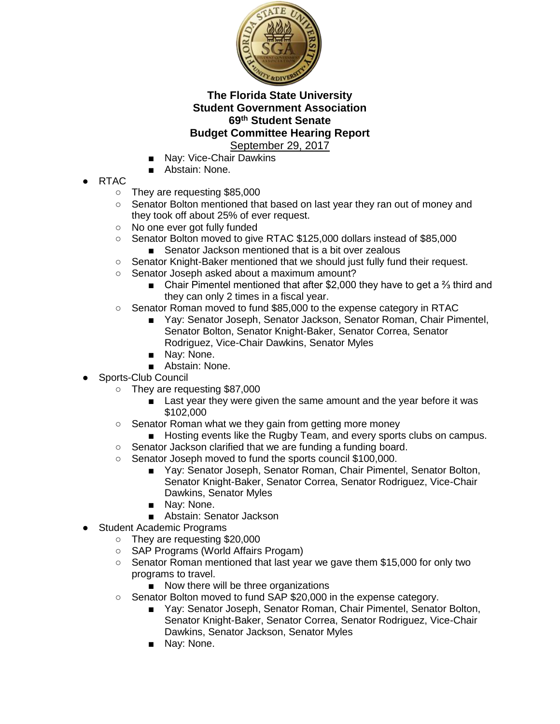

- Nay: Vice-Chair Dawkins
- Abstain: None.
- RTAC
	- They are requesting \$85,000
	- Senator Bolton mentioned that based on last year they ran out of money and they took off about 25% of ever request.
	- No one ever got fully funded
	- Senator Bolton moved to give RTAC \$125,000 dollars instead of \$85,000
		- Senator Jackson mentioned that is a bit over zealous
	- Senator Knight-Baker mentioned that we should just fully fund their request.
	- Senator Joseph asked about a maximum amount?
		- Chair Pimentel mentioned that after \$2,000 they have to get a <sup>3</sup>/<sub>3</sub> third and they can only 2 times in a fiscal year.
	- Senator Roman moved to fund \$85,000 to the expense category in RTAC
		- Yay: Senator Joseph, Senator Jackson, Senator Roman, Chair Pimentel, Senator Bolton, Senator Knight-Baker, Senator Correa, Senator Rodriguez, Vice-Chair Dawkins, Senator Myles
		- Nav: None.
		- Abstain: None.
- Sports-Club Council
	- They are requesting \$87,000
		- Last year they were given the same amount and the year before it was \$102,000
	- Senator Roman what we they gain from getting more money
		- Hosting events like the Rugby Team, and every sports clubs on campus.
	- Senator Jackson clarified that we are funding a funding board.
	- Senator Joseph moved to fund the sports council \$100,000.
		- Yay: Senator Joseph, Senator Roman, Chair Pimentel, Senator Bolton, Senator Knight-Baker, Senator Correa, Senator Rodriguez, Vice-Chair Dawkins, Senator Myles
		- Nay: None.
		- Abstain: Senator Jackson
- Student Academic Programs
	- They are requesting \$20,000
	- SAP Programs (World Affairs Progam)
	- Senator Roman mentioned that last year we gave them \$15,000 for only two programs to travel.
		- Now there will be three organizations
	- Senator Bolton moved to fund SAP \$20,000 in the expense category.
		- Yay: Senator Joseph, Senator Roman, Chair Pimentel, Senator Bolton, Senator Knight-Baker, Senator Correa, Senator Rodriguez, Vice-Chair Dawkins, Senator Jackson, Senator Myles
		- Nay: None.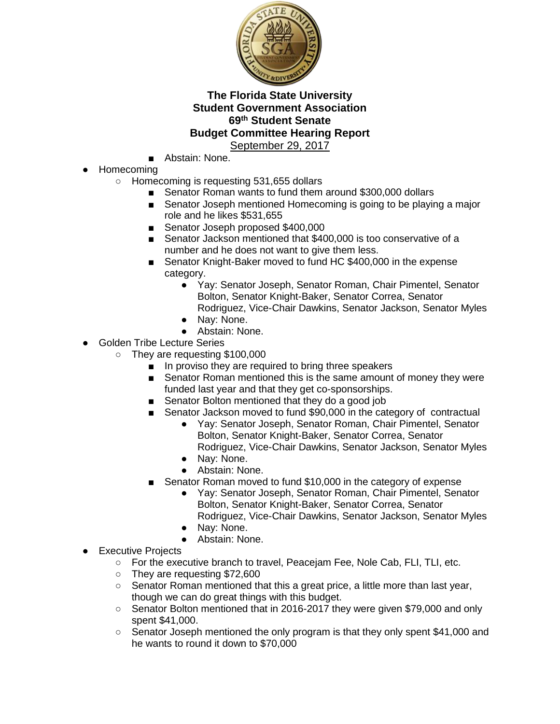

- Abstain: None.
- Homecoming
	- Homecoming is requesting 531,655 dollars
		- Senator Roman wants to fund them around \$300,000 dollars
		- Senator Joseph mentioned Homecoming is going to be playing a major role and he likes \$531,655
		- Senator Joseph proposed \$400,000
		- Senator Jackson mentioned that \$400,000 is too conservative of a number and he does not want to give them less.
		- Senator Knight-Baker moved to fund HC \$400,000 in the expense category.
			- Yay: Senator Joseph, Senator Roman, Chair Pimentel, Senator Bolton, Senator Knight-Baker, Senator Correa, Senator Rodriguez, Vice-Chair Dawkins, Senator Jackson, Senator Myles
			- Nay: None.
			- Abstain: None.
- Golden Tribe Lecture Series
	- They are requesting \$100,000
		- In proviso they are required to bring three speakers
		- Senator Roman mentioned this is the same amount of money they were funded last year and that they get co-sponsorships.
		- Senator Bolton mentioned that they do a good job
		- Senator Jackson moved to fund \$90,000 in the category of contractual
			- Yay: Senator Joseph, Senator Roman, Chair Pimentel, Senator Bolton, Senator Knight-Baker, Senator Correa, Senator Rodriguez, Vice-Chair Dawkins, Senator Jackson, Senator Myles
			- Nay: None.
			- Abstain: None.
		- Senator Roman moved to fund \$10,000 in the category of expense
			- Yay: Senator Joseph, Senator Roman, Chair Pimentel, Senator Bolton, Senator Knight-Baker, Senator Correa, Senator Rodriguez, Vice-Chair Dawkins, Senator Jackson, Senator Myles
			- Nay: None.
			- Abstain: None.
- **Executive Projects** 
	- For the executive branch to travel, Peacejam Fee, Nole Cab, FLI, TLI, etc.
	- They are requesting \$72,600
	- $\circ$  Senator Roman mentioned that this a great price, a little more than last year, though we can do great things with this budget.
	- Senator Bolton mentioned that in 2016-2017 they were given \$79,000 and only spent \$41,000.
	- Senator Joseph mentioned the only program is that they only spent \$41,000 and he wants to round it down to \$70,000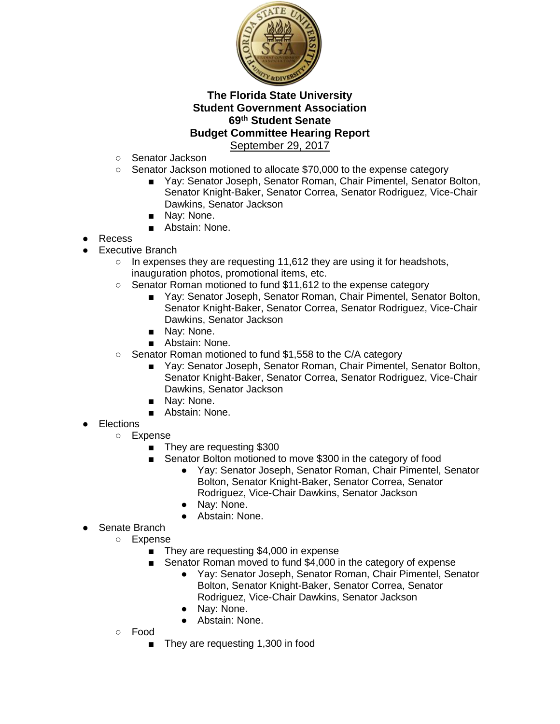

- Senator Jackson
- Senator Jackson motioned to allocate \$70,000 to the expense category
	- Yay: Senator Joseph, Senator Roman, Chair Pimentel, Senator Bolton, Senator Knight-Baker, Senator Correa, Senator Rodriguez, Vice-Chair Dawkins, Senator Jackson
	- Nay: None.
	- Abstain: None.
- Recess
- Executive Branch
	- $\circ$  In expenses they are requesting 11,612 they are using it for headshots, inauguration photos, promotional items, etc.
	- Senator Roman motioned to fund \$11,612 to the expense category
		- Yay: Senator Joseph, Senator Roman, Chair Pimentel, Senator Bolton, Senator Knight-Baker, Senator Correa, Senator Rodriguez, Vice-Chair Dawkins, Senator Jackson
		- Nay: None.
		- Abstain: None.
	- Senator Roman motioned to fund \$1,558 to the C/A category
		- Yay: Senator Joseph, Senator Roman, Chair Pimentel, Senator Bolton, Senator Knight-Baker, Senator Correa, Senator Rodriguez, Vice-Chair Dawkins, Senator Jackson
		- Nay: None.
		- Abstain: None.
- Elections
	- Expense
		- They are requesting \$300
		- Senator Bolton motioned to move \$300 in the category of food
			- Yay: Senator Joseph, Senator Roman, Chair Pimentel, Senator Bolton, Senator Knight-Baker, Senator Correa, Senator Rodriguez, Vice-Chair Dawkins, Senator Jackson
			- Nay: None.
			- Abstain: None.
- Senate Branch
	- Expense
		- They are requesting \$4,000 in expense
		- Senator Roman moved to fund \$4,000 in the category of expense
			- Yay: Senator Joseph, Senator Roman, Chair Pimentel, Senator Bolton, Senator Knight-Baker, Senator Correa, Senator Rodriguez, Vice-Chair Dawkins, Senator Jackson
			- Nay: None.
			- Abstain: None.
	- Food
		- They are requesting 1,300 in food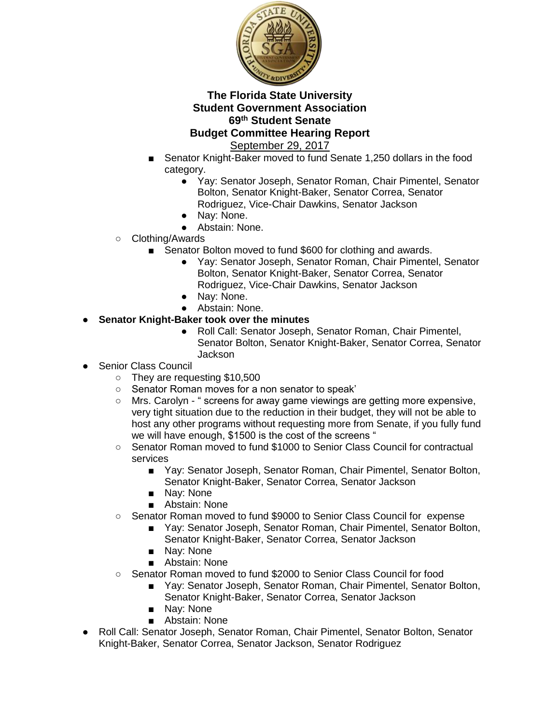

- Senator Knight-Baker moved to fund Senate 1,250 dollars in the food category.
	- Yay: Senator Joseph, Senator Roman, Chair Pimentel, Senator Bolton, Senator Knight-Baker, Senator Correa, Senator Rodriguez, Vice-Chair Dawkins, Senator Jackson
	- Nay: None.
	- Abstain: None.
- Clothing/Awards
	- Senator Bolton moved to fund \$600 for clothing and awards.
		- Yay: Senator Joseph, Senator Roman, Chair Pimentel, Senator Bolton, Senator Knight-Baker, Senator Correa, Senator Rodriguez, Vice-Chair Dawkins, Senator Jackson
		- Nay: None.
		- Abstain: None.
- **Senator Knight-Baker took over the minutes** 
	- Roll Call: Senator Joseph, Senator Roman, Chair Pimentel, Senator Bolton, Senator Knight-Baker, Senator Correa, Senator Jackson
- **Senior Class Council** 
	- They are requesting \$10,500
	- Senator Roman moves for a non senator to speak'
	- Mrs. Carolyn " screens for away game viewings are getting more expensive, very tight situation due to the reduction in their budget, they will not be able to host any other programs without requesting more from Senate, if you fully fund we will have enough, \$1500 is the cost of the screens "
	- Senator Roman moved to fund \$1000 to Senior Class Council for contractual services
		- Yay: Senator Joseph, Senator Roman, Chair Pimentel, Senator Bolton, Senator Knight-Baker, Senator Correa, Senator Jackson
		- Nay: None
		- Abstain: None
	- Senator Roman moved to fund \$9000 to Senior Class Council for expense
		- Yay: Senator Joseph, Senator Roman, Chair Pimentel, Senator Bolton, Senator Knight-Baker, Senator Correa, Senator Jackson
		- Nav: None
		- Abstain: None
	- Senator Roman moved to fund \$2000 to Senior Class Council for food
		- Yay: Senator Joseph, Senator Roman, Chair Pimentel, Senator Bolton, Senator Knight-Baker, Senator Correa, Senator Jackson
		- Nay: None
		- Abstain: None
- Roll Call: Senator Joseph, Senator Roman, Chair Pimentel, Senator Bolton, Senator Knight-Baker, Senator Correa, Senator Jackson, Senator Rodriguez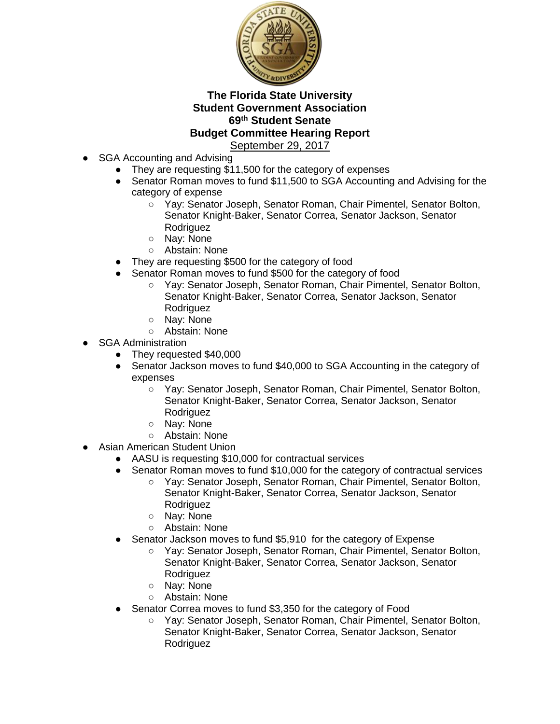

- SGA Accounting and Advising
	- They are requesting \$11,500 for the category of expenses
	- Senator Roman moves to fund \$11,500 to SGA Accounting and Advising for the category of expense
		- Yay: Senator Joseph, Senator Roman, Chair Pimentel, Senator Bolton, Senator Knight-Baker, Senator Correa, Senator Jackson, Senator Rodriguez
		- Nay: None
		- Abstain: None
	- They are requesting \$500 for the category of food
	- Senator Roman moves to fund \$500 for the category of food
		- Yay: Senator Joseph, Senator Roman, Chair Pimentel, Senator Bolton, Senator Knight-Baker, Senator Correa, Senator Jackson, Senator Rodriguez
		- Nay: None
		- Abstain: None
- **SGA Administration** 
	- They requested \$40,000
	- Senator Jackson moves to fund \$40,000 to SGA Accounting in the category of expenses
		- Yay: Senator Joseph, Senator Roman, Chair Pimentel, Senator Bolton, Senator Knight-Baker, Senator Correa, Senator Jackson, Senator Rodriguez
		- Nay: None
		- Abstain: None
- **Asian American Student Union** 
	- AASU is requesting \$10,000 for contractual services
	- Senator Roman moves to fund \$10,000 for the category of contractual services
		- Yay: Senator Joseph, Senator Roman, Chair Pimentel, Senator Bolton, Senator Knight-Baker, Senator Correa, Senator Jackson, Senator Rodriguez
		- Nay: None
		- Abstain: None
		- Senator Jackson moves to fund \$5,910 for the category of Expense
			- Yay: Senator Joseph, Senator Roman, Chair Pimentel, Senator Bolton, Senator Knight-Baker, Senator Correa, Senator Jackson, Senator Rodriguez
			- Nay: None
			- Abstain: None
	- Senator Correa moves to fund \$3,350 for the category of Food
		- Yay: Senator Joseph, Senator Roman, Chair Pimentel, Senator Bolton, Senator Knight-Baker, Senator Correa, Senator Jackson, Senator Rodriguez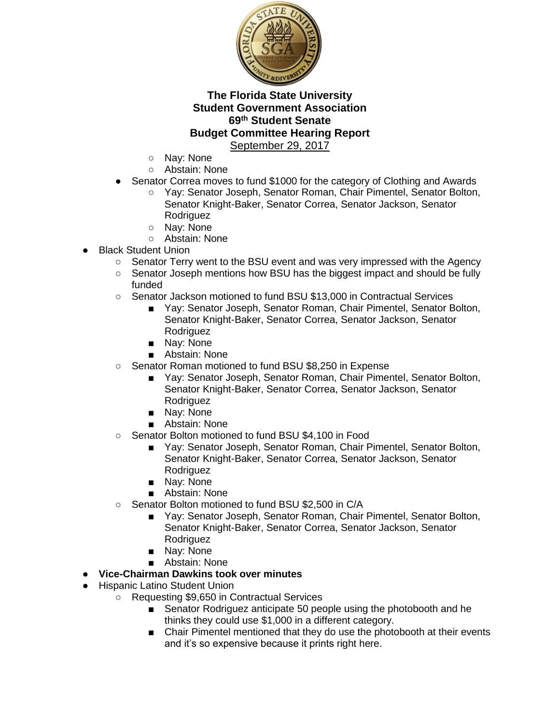

- Nay: None
- Abstain: None
- Senator Correa moves to fund \$1000 for the category of Clothing and Awards
	- Yav: Senator Joseph, Senator Roman, Chair Pimentel, Senator Bolton, Senator Knight-Baker, Senator Correa, Senator Jackson, Senator Rodriguez
		- Nay: None
	- Abstain: None
- Black Student Union
	- Senator Terry went to the BSU event and was very impressed with the Agency
	- Senator Joseph mentions how BSU has the biggest impact and should be fully funded
	- Senator Jackson motioned to fund BSU \$13,000 in Contractual Services
		- Yay: Senator Joseph, Senator Roman, Chair Pimentel, Senator Bolton, Senator Knight-Baker, Senator Correa, Senator Jackson, Senator Rodriguez
		- Nay: None
		- Abstain: None
	- Senator Roman motioned to fund BSU \$8,250 in Expense
		- Yay: Senator Joseph, Senator Roman, Chair Pimentel, Senator Bolton, Senator Knight-Baker, Senator Correa, Senator Jackson, Senator Rodriguez
		- Nay: None
		- Abstain: None
	- Senator Bolton motioned to fund BSU \$4,100 in Food
		- Yay: Senator Joseph, Senator Roman, Chair Pimentel, Senator Bolton, Senator Knight-Baker, Senator Correa, Senator Jackson, Senator Rodriguez
		- Nay: None
		- Abstain: None
	- Senator Bolton motioned to fund BSU \$2,500 in C/A
		- Yay: Senator Joseph, Senator Roman, Chair Pimentel, Senator Bolton, Senator Knight-Baker, Senator Correa, Senator Jackson, Senator Rodriguez
		- Nay: None
		- Abstain: None
- **Vice-Chairman Dawkins took over minutes**
- Hispanic Latino Student Union
	- Requesting \$9,650 in Contractual Services
		- Senator Rodriguez anticipate 50 people using the photobooth and he thinks they could use \$1,000 in a different category.
		- Chair Pimentel mentioned that they do use the photobooth at their events and it's so expensive because it prints right here.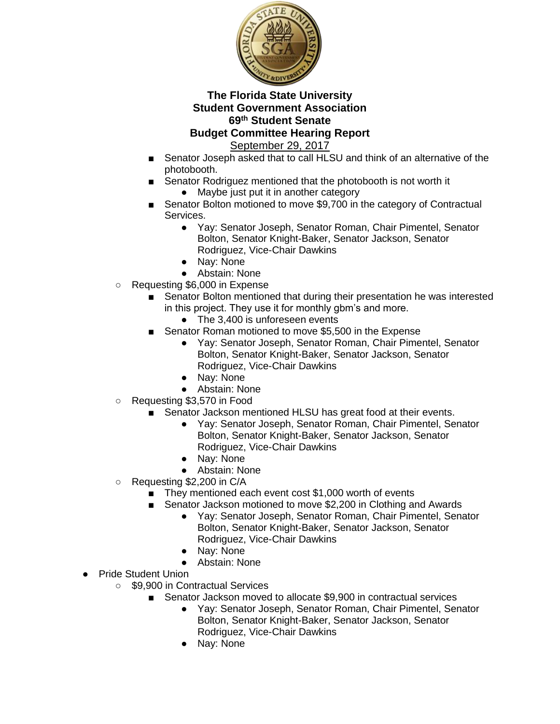

- Senator Joseph asked that to call HLSU and think of an alternative of the photobooth.
- Senator Rodriguez mentioned that the photobooth is not worth it ● Maybe just put it in another category
- Senator Bolton motioned to move \$9,700 in the category of Contractual Services.
	- Yay: Senator Joseph, Senator Roman, Chair Pimentel, Senator Bolton, Senator Knight-Baker, Senator Jackson, Senator Rodriguez, Vice-Chair Dawkins
	- Nay: None
	- Abstain: None
- Requesting \$6,000 in Expense
	- Senator Bolton mentioned that during their presentation he was interested in this project. They use it for monthly gbm's and more.
		- The 3,400 is unforeseen events
	- Senator Roman motioned to move \$5,500 in the Expense
		- Yay: Senator Joseph, Senator Roman, Chair Pimentel, Senator Bolton, Senator Knight-Baker, Senator Jackson, Senator Rodriguez, Vice-Chair Dawkins
		- Nay: None
		- Abstain: None
- Requesting \$3,570 in Food
	- Senator Jackson mentioned HLSU has great food at their events.
		- Yay: Senator Joseph, Senator Roman, Chair Pimentel, Senator Bolton, Senator Knight-Baker, Senator Jackson, Senator Rodriguez, Vice-Chair Dawkins
		- Nay: None
		- Abstain: None
- Requesting \$2,200 in C/A
	- They mentioned each event cost \$1,000 worth of events
	- Senator Jackson motioned to move \$2,200 in Clothing and Awards
		- Yay: Senator Joseph, Senator Roman, Chair Pimentel, Senator Bolton, Senator Knight-Baker, Senator Jackson, Senator Rodriguez, Vice-Chair Dawkins
		- Nay: None
		- Abstain: None
- Pride Student Union
	- \$9,900 in Contractual Services
		- Senator Jackson moved to allocate \$9,900 in contractual services
			- Yay: Senator Joseph, Senator Roman, Chair Pimentel, Senator Bolton, Senator Knight-Baker, Senator Jackson, Senator Rodriguez, Vice-Chair Dawkins
			- Nay: None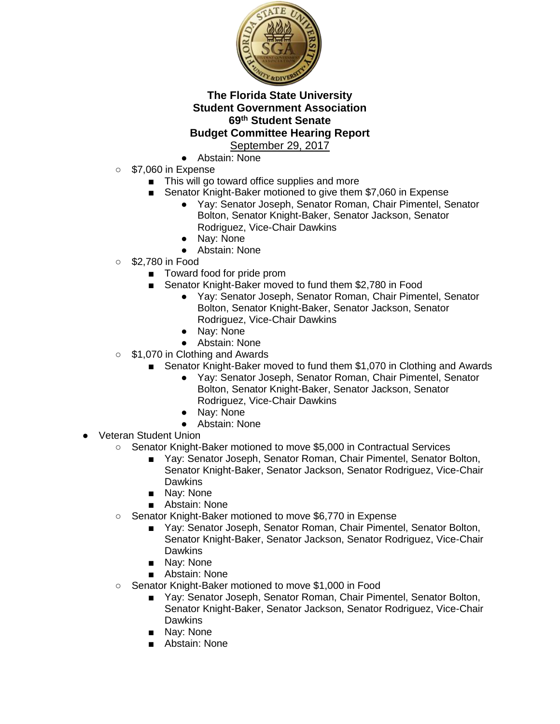

- Abstain: None
- $\circ$  \$7.060 in Expense
	- This will go toward office supplies and more
	- Senator Knight-Baker motioned to give them \$7,060 in Expense
		- Yay: Senator Joseph, Senator Roman, Chair Pimentel, Senator Bolton, Senator Knight-Baker, Senator Jackson, Senator Rodriguez, Vice-Chair Dawkins
		- Nay: None
		- Abstain: None
- \$2,780 in Food
	- Toward food for pride prom
	- Senator Knight-Baker moved to fund them \$2,780 in Food
		- Yay: Senator Joseph, Senator Roman, Chair Pimentel, Senator Bolton, Senator Knight-Baker, Senator Jackson, Senator Rodriguez, Vice-Chair Dawkins
		- Nay: None
		- Abstain: None
- \$1,070 in Clothing and Awards
	- Senator Knight-Baker moved to fund them \$1,070 in Clothing and Awards
		- Yay: Senator Joseph, Senator Roman, Chair Pimentel, Senator Bolton, Senator Knight-Baker, Senator Jackson, Senator Rodriguez, Vice-Chair Dawkins
		- Nay: None
		- Abstain: None
- **Veteran Student Union** 
	- Senator Knight-Baker motioned to move \$5,000 in Contractual Services
		- Yay: Senator Joseph, Senator Roman, Chair Pimentel, Senator Bolton, Senator Knight-Baker, Senator Jackson, Senator Rodriguez, Vice-Chair **Dawkins**
		- Nay: None
		- Abstain: None
	- Senator Knight-Baker motioned to move \$6,770 in Expense
		- Yay: Senator Joseph, Senator Roman, Chair Pimentel, Senator Bolton, Senator Knight-Baker, Senator Jackson, Senator Rodriguez, Vice-Chair **Dawkins**
		- Nay: None
		- Abstain: None
	- Senator Knight-Baker motioned to move \$1,000 in Food
		- Yay: Senator Joseph, Senator Roman, Chair Pimentel, Senator Bolton, Senator Knight-Baker, Senator Jackson, Senator Rodriguez, Vice-Chair **Dawkins**
		- Nay: None
		- Abstain: None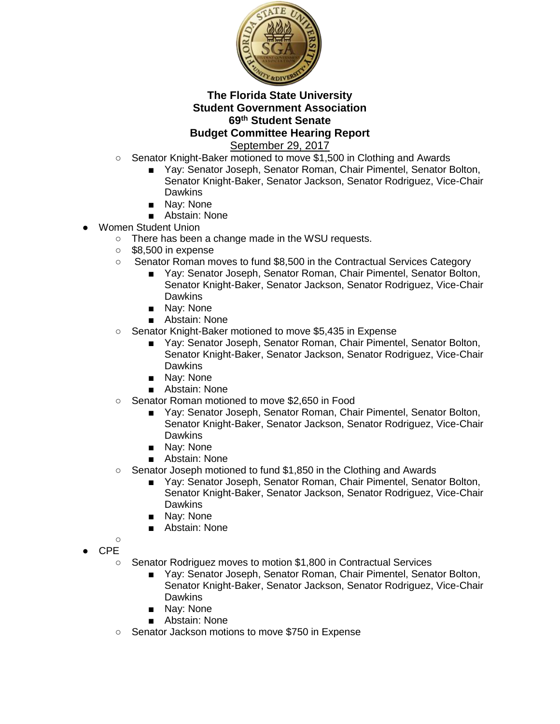

- Senator Knight-Baker motioned to move \$1,500 in Clothing and Awards
	- Yay: Senator Joseph, Senator Roman, Chair Pimentel, Senator Bolton, Senator Knight-Baker, Senator Jackson, Senator Rodriguez, Vice-Chair **Dawkins**
	- Nay: None
	- Abstain: None
- Women Student Union
	- There has been a change made in the WSU requests.
	- \$8,500 in expense
	- Senator Roman moves to fund \$8,500 in the Contractual Services Category
		- Yay: Senator Joseph, Senator Roman, Chair Pimentel, Senator Bolton, Senator Knight-Baker, Senator Jackson, Senator Rodriguez, Vice-Chair **Dawkins**
		- Nay: None
		- Abstain: None
	- Senator Knight-Baker motioned to move \$5,435 in Expense
		- Yay: Senator Joseph, Senator Roman, Chair Pimentel, Senator Bolton, Senator Knight-Baker, Senator Jackson, Senator Rodriguez, Vice-Chair **Dawkins**
		- Nay: None
		- Abstain: None
	- Senator Roman motioned to move \$2,650 in Food
		- Yay: Senator Joseph, Senator Roman, Chair Pimentel, Senator Bolton, Senator Knight-Baker, Senator Jackson, Senator Rodriguez, Vice-Chair **Dawkins**
		- Nay: None
		- Abstain: None
	- Senator Joseph motioned to fund \$1,850 in the Clothing and Awards
		- Yay: Senator Joseph, Senator Roman, Chair Pimentel, Senator Bolton, Senator Knight-Baker, Senator Jackson, Senator Rodriguez, Vice-Chair Dawkins
		- Nay: None
		- Abstain: None
	- $\cap$ ● CPE
		- Senator Rodriguez moves to motion \$1,800 in Contractual Services
			- Yay: Senator Joseph, Senator Roman, Chair Pimentel, Senator Bolton, Senator Knight-Baker, Senator Jackson, Senator Rodriguez, Vice-Chair **Dawkins**
			- Nay: None
			- Abstain: None
		- Senator Jackson motions to move \$750 in Expense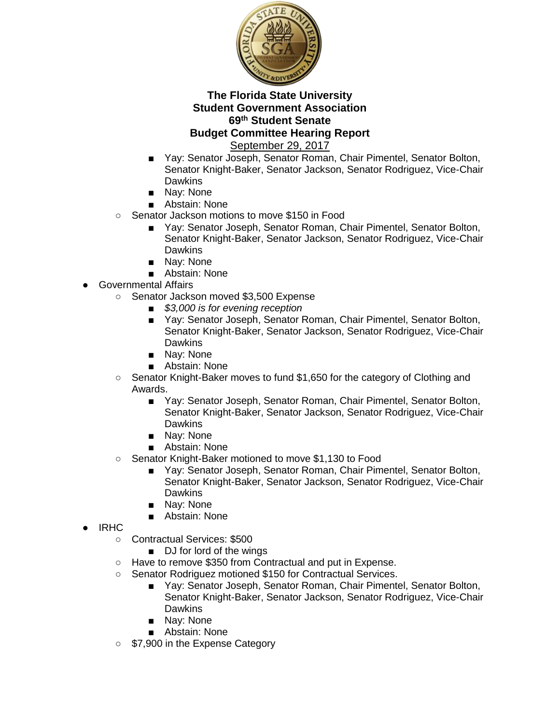

- Yay: Senator Joseph, Senator Roman, Chair Pimentel, Senator Bolton, Senator Knight-Baker, Senator Jackson, Senator Rodriguez, Vice-Chair **Dawkins**
- Nav: None
- Abstain: None
- Senator Jackson motions to move \$150 in Food
	- Yay: Senator Joseph, Senator Roman, Chair Pimentel, Senator Bolton, Senator Knight-Baker, Senator Jackson, Senator Rodriguez, Vice-Chair **Dawkins**
	- Nay: None
	- Abstain: None
- Governmental Affairs
	- Senator Jackson moved \$3,500 Expense
		- *\$3,000 is for evening reception*
		- Yay: Senator Joseph, Senator Roman, Chair Pimentel, Senator Bolton, Senator Knight-Baker, Senator Jackson, Senator Rodriguez, Vice-Chair **Dawkins**
		- Nav: None
		- Abstain: None
	- Senator Knight-Baker moves to fund \$1,650 for the category of Clothing and Awards.
		- Yay: Senator Joseph, Senator Roman, Chair Pimentel, Senator Bolton, Senator Knight-Baker, Senator Jackson, Senator Rodriguez, Vice-Chair **Dawkins**
		- Nav: None
		- Abstain: None
	- Senator Knight-Baker motioned to move \$1,130 to Food
		- Yay: Senator Joseph, Senator Roman, Chair Pimentel, Senator Bolton, Senator Knight-Baker, Senator Jackson, Senator Rodriguez, Vice-Chair **Dawkins**
		- Nay: None
		- Abstain: None
- **IRHC** 
	- Contractual Services: \$500
		- DJ for lord of the wings
	- Have to remove \$350 from Contractual and put in Expense.
	- Senator Rodriguez motioned \$150 for Contractual Services.
		- Yay: Senator Joseph, Senator Roman, Chair Pimentel, Senator Bolton, Senator Knight-Baker, Senator Jackson, Senator Rodriguez, Vice-Chair Dawkins
		- Nay: None
		- Abstain: None
	- \$7,900 in the Expense Category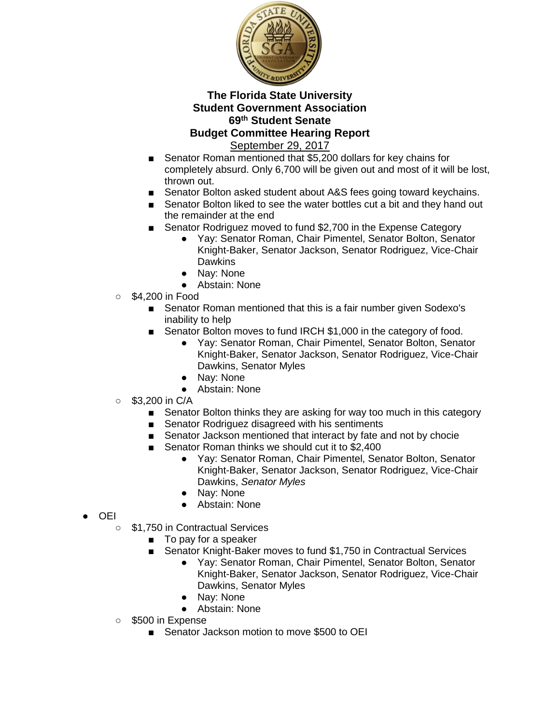

- Senator Roman mentioned that \$5,200 dollars for key chains for completely absurd. Only 6,700 will be given out and most of it will be lost, thrown out.
- Senator Bolton asked student about A&S fees going toward keychains.
- Senator Bolton liked to see the water bottles cut a bit and they hand out the remainder at the end
- Senator Rodriguez moved to fund \$2,700 in the Expense Category
	- Yay: Senator Roman, Chair Pimentel, Senator Bolton, Senator Knight-Baker, Senator Jackson, Senator Rodriguez, Vice-Chair **Dawkins**
	- Nay: None
	- Abstain: None
- \$4,200 in Food
	- Senator Roman mentioned that this is a fair number given Sodexo's inability to help
	- Senator Bolton moves to fund IRCH \$1,000 in the category of food.
		- Yay: Senator Roman, Chair Pimentel, Senator Bolton, Senator Knight-Baker, Senator Jackson, Senator Rodriguez, Vice-Chair Dawkins, Senator Myles
		- Nay: None
		- Abstain: None
- $\circ$  \$3,200 in C/A
	- Senator Bolton thinks they are asking for way too much in this category
	- Senator Rodriguez disagreed with his sentiments
	- Senator Jackson mentioned that interact by fate and not by chocie
	- Senator Roman thinks we should cut it to \$2,400
		- Yay: Senator Roman, Chair Pimentel, Senator Bolton, Senator Knight-Baker, Senator Jackson, Senator Rodriguez, Vice-Chair Dawkins, *Senator Myles*
		- Nay: None
		- Abstain: None
- OEI
	- \$1,750 in Contractual Services
		- To pay for a speaker
		- Senator Knight-Baker moves to fund \$1,750 in Contractual Services
			- Yay: Senator Roman, Chair Pimentel, Senator Bolton, Senator Knight-Baker, Senator Jackson, Senator Rodriguez, Vice-Chair Dawkins, Senator Myles
			- Nay: None
			- Abstain: None
	- \$500 in Expense
		- Senator Jackson motion to move \$500 to OEI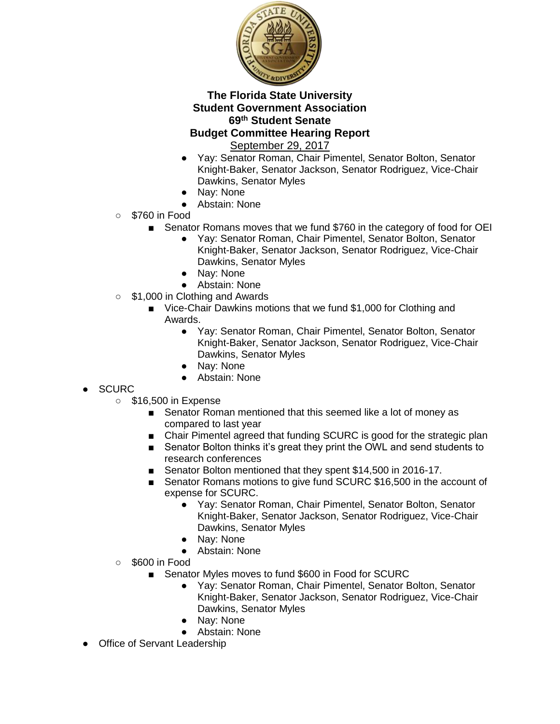

- Yay: Senator Roman, Chair Pimentel, Senator Bolton, Senator Knight-Baker, Senator Jackson, Senator Rodriguez, Vice-Chair Dawkins, Senator Myles
- Nay: None
- Abstain: None
- \$760 in Food
	- Senator Romans moves that we fund \$760 in the category of food for OEI
		- Yay: Senator Roman, Chair Pimentel, Senator Bolton, Senator Knight-Baker, Senator Jackson, Senator Rodriguez, Vice-Chair Dawkins, Senator Myles
		- Nay: None
		- Abstain: None
- \$1,000 in Clothing and Awards
	- Vice-Chair Dawkins motions that we fund \$1,000 for Clothing and Awards.
		- Yay: Senator Roman, Chair Pimentel, Senator Bolton, Senator Knight-Baker, Senator Jackson, Senator Rodriguez, Vice-Chair Dawkins, Senator Myles
		- Nay: None
		- Abstain: None
- **SCURC** 
	- \$16,500 in Expense
		- Senator Roman mentioned that this seemed like a lot of money as compared to last year
		- Chair Pimentel agreed that funding SCURC is good for the strategic plan
		- Senator Bolton thinks it's great they print the OWL and send students to research conferences
		- Senator Bolton mentioned that they spent \$14,500 in 2016-17.
		- Senator Romans motions to give fund SCURC \$16,500 in the account of expense for SCURC.
			- Yay: Senator Roman, Chair Pimentel, Senator Bolton, Senator Knight-Baker, Senator Jackson, Senator Rodriguez, Vice-Chair Dawkins, Senator Myles
			- Nay: None
			- Abstain: None
	- \$600 in Food
		- Senator Myles moves to fund \$600 in Food for SCURC
			- Yay: Senator Roman, Chair Pimentel, Senator Bolton, Senator Knight-Baker, Senator Jackson, Senator Rodriguez, Vice-Chair Dawkins, Senator Myles
			- Nay: None
			- Abstain: None
- Office of Servant Leadership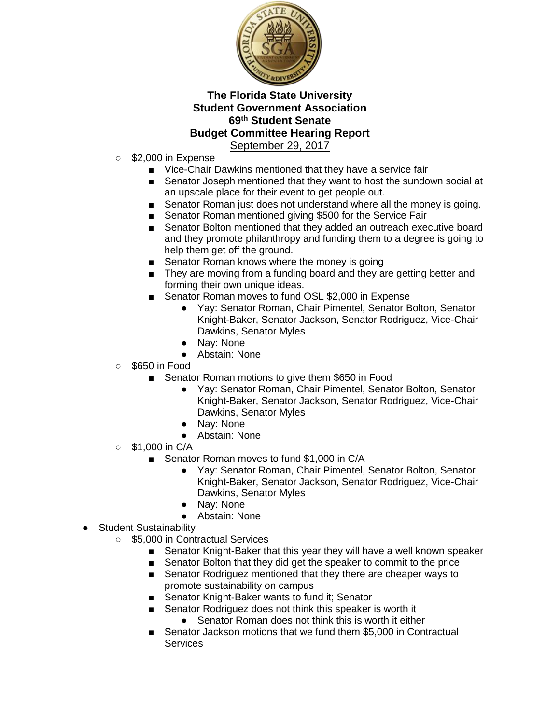

- \$2,000 in Expense
	- Vice-Chair Dawkins mentioned that they have a service fair
	- Senator Joseph mentioned that they want to host the sundown social at an upscale place for their event to get people out.
	- Senator Roman just does not understand where all the money is going.
	- Senator Roman mentioned giving \$500 for the Service Fair
	- Senator Bolton mentioned that they added an outreach executive board and they promote philanthropy and funding them to a degree is going to help them get off the ground.
	- Senator Roman knows where the money is going
	- They are moving from a funding board and they are getting better and forming their own unique ideas.
	- Senator Roman moves to fund OSL \$2,000 in Expense
		- Yay: Senator Roman, Chair Pimentel, Senator Bolton, Senator Knight-Baker, Senator Jackson, Senator Rodriguez, Vice-Chair Dawkins, Senator Myles
		- Nay: None
		- Abstain: None
- $\circ$  \$650 in Food
	- Senator Roman motions to give them \$650 in Food
		- Yay: Senator Roman, Chair Pimentel, Senator Bolton, Senator Knight-Baker, Senator Jackson, Senator Rodriguez, Vice-Chair Dawkins, Senator Myles
		- Nay: None
		- Abstain: None
- $\circ$  \$1,000 in C/A
	- Senator Roman moves to fund \$1,000 in C/A
		- Yay: Senator Roman, Chair Pimentel, Senator Bolton, Senator Knight-Baker, Senator Jackson, Senator Rodriguez, Vice-Chair Dawkins, Senator Myles
		- Nay: None
		- Abstain: None
- Student Sustainability
	- \$5,000 in Contractual Services
		- Senator Knight-Baker that this year they will have a well known speaker
		- Senator Bolton that they did get the speaker to commit to the price
		- Senator Rodriguez mentioned that they there are cheaper ways to promote sustainability on campus
		- Senator Knight-Baker wants to fund it; Senator
		- Senator Rodriguez does not think this speaker is worth it
			- Senator Roman does not think this is worth it either
		- Senator Jackson motions that we fund them \$5,000 in Contractual **Services**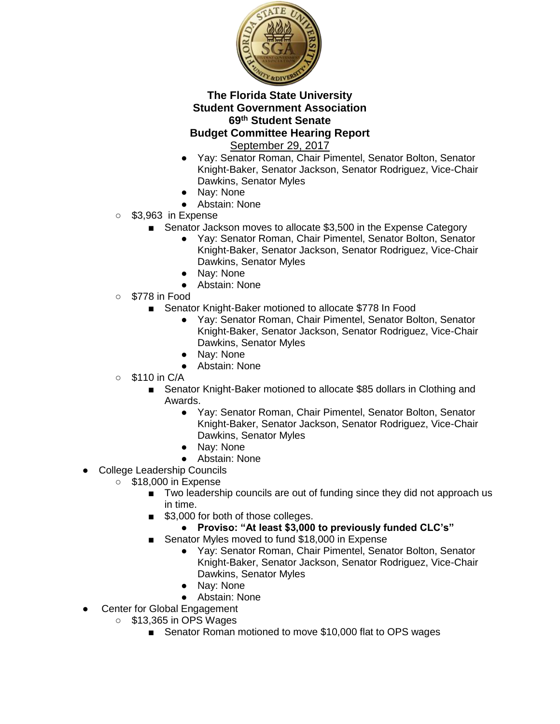

- Yay: Senator Roman, Chair Pimentel, Senator Bolton, Senator Knight-Baker, Senator Jackson, Senator Rodriguez, Vice-Chair Dawkins, Senator Myles
- Nay: None
- Abstain: None
- \$3,963 in Expense
	- Senator Jackson moves to allocate \$3,500 in the Expense Category
		- Yay: Senator Roman, Chair Pimentel, Senator Bolton, Senator Knight-Baker, Senator Jackson, Senator Rodriguez, Vice-Chair Dawkins, Senator Myles
		- Nay: None
		- Abstain: None
- \$778 in Food
	- Senator Knight-Baker motioned to allocate \$778 In Food
		- Yay: Senator Roman, Chair Pimentel, Senator Bolton, Senator Knight-Baker, Senator Jackson, Senator Rodriguez, Vice-Chair Dawkins, Senator Myles
		- Nay: None
		- Abstain: None
- $\circ$  \$110 in C/A
	- Senator Knight-Baker motioned to allocate \$85 dollars in Clothing and Awards.
		- Yay: Senator Roman, Chair Pimentel, Senator Bolton, Senator Knight-Baker, Senator Jackson, Senator Rodriguez, Vice-Chair Dawkins, Senator Myles
		- Nay: None
		- Abstain: None
- College Leadership Councils
	- \$18,000 in Expense
		- Two leadership councils are out of funding since they did not approach us in time.
		- \$3,000 for both of those colleges.
			- **Proviso: "At least \$3,000 to previously funded CLC's"**
			- Senator Myles moved to fund \$18,000 in Expense
				- Yay: Senator Roman, Chair Pimentel, Senator Bolton, Senator Knight-Baker, Senator Jackson, Senator Rodriguez, Vice-Chair Dawkins, Senator Myles
				- Nay: None
				- Abstain: None
- **Center for Global Engagement** 
	- \$13,365 in OPS Wages
		- Senator Roman motioned to move \$10,000 flat to OPS wages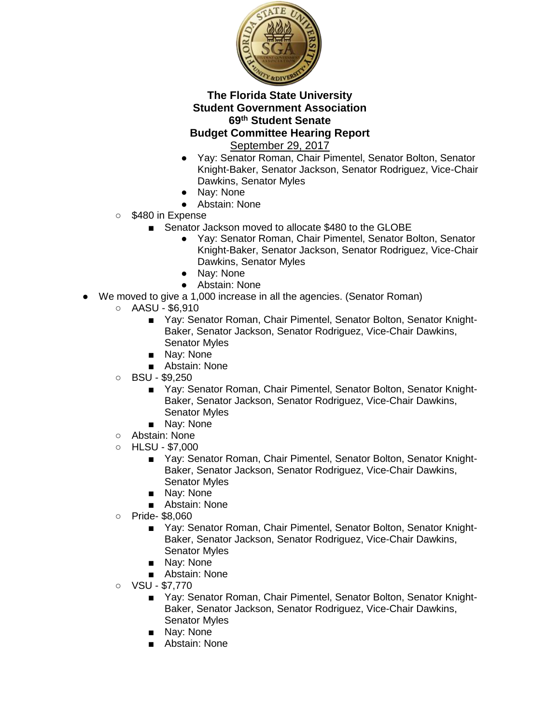

- Yay: Senator Roman, Chair Pimentel, Senator Bolton, Senator Knight-Baker, Senator Jackson, Senator Rodriguez, Vice-Chair Dawkins, Senator Myles
- Nay: None
- Abstain: None
- \$480 in Expense
	- Senator Jackson moved to allocate \$480 to the GLOBE
		- Yay: Senator Roman, Chair Pimentel, Senator Bolton, Senator Knight-Baker, Senator Jackson, Senator Rodriguez, Vice-Chair Dawkins, Senator Myles
		- Nay: None
		- Abstain: None
- We moved to give a 1,000 increase in all the agencies. (Senator Roman)
	- $\circ$  AASU \$6,910
		- Yay: Senator Roman, Chair Pimentel, Senator Bolton, Senator Knight-Baker, Senator Jackson, Senator Rodriguez, Vice-Chair Dawkins, Senator Myles
		- Nav: None
		- Abstain: None
	- $O$  BSU \$9,250
		- Yay: Senator Roman, Chair Pimentel, Senator Bolton, Senator Knight-Baker, Senator Jackson, Senator Rodriguez, Vice-Chair Dawkins, Senator Myles
		- Nay: None
	- Abstain: None
	- $\circ$  HLSU \$7,000
		- Yay: Senator Roman, Chair Pimentel, Senator Bolton, Senator Knight-Baker, Senator Jackson, Senator Rodriguez, Vice-Chair Dawkins, Senator Myles
		- Nay: None
		- Abstain: None
	- Pride- \$8,060
		- Yay: Senator Roman, Chair Pimentel, Senator Bolton, Senator Knight-Baker, Senator Jackson, Senator Rodriguez, Vice-Chair Dawkins, Senator Myles
		- Nay: None
		- Abstain: None
	- $O$  VSU \$7,770
		- Yay: Senator Roman, Chair Pimentel, Senator Bolton, Senator Knight-Baker, Senator Jackson, Senator Rodriguez, Vice-Chair Dawkins, Senator Myles
		- Nay: None
		- Abstain: None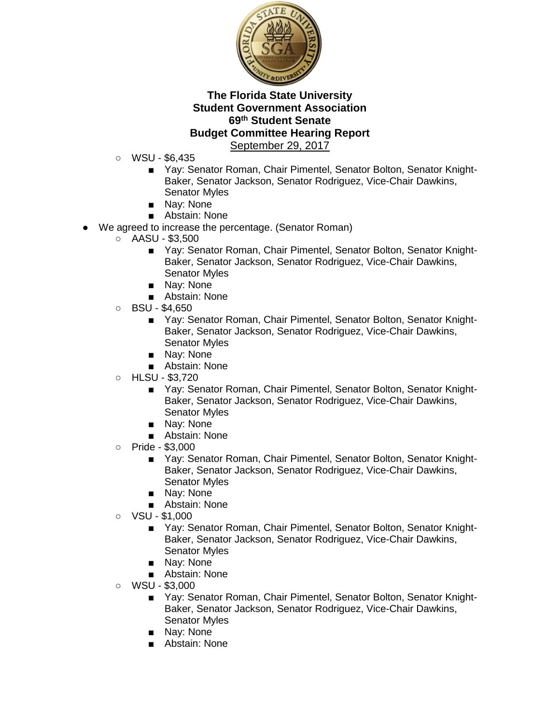

- WSU \$6,435
	- Yay: Senator Roman, Chair Pimentel, Senator Bolton, Senator Knight-Baker, Senator Jackson, Senator Rodriguez, Vice-Chair Dawkins, Senator Myles
	- Nay: None
	- Abstain: None
- We agreed to increase the percentage. (Senator Roman)
	- $\circ$  AASU \$3,500
		- Yay: Senator Roman, Chair Pimentel, Senator Bolton, Senator Knight-Baker, Senator Jackson, Senator Rodriguez, Vice-Chair Dawkins, Senator Myles
		- Nay: None
		- Abstain: None
	- $O$  BSU \$4,650
		- Yay: Senator Roman, Chair Pimentel, Senator Bolton, Senator Knight-Baker, Senator Jackson, Senator Rodriguez, Vice-Chair Dawkins, Senator Myles
		- Nav: None
		- Abstain: None
	- HLSU \$3,720
		- Yay: Senator Roman, Chair Pimentel, Senator Bolton, Senator Knight-Baker, Senator Jackson, Senator Rodriguez, Vice-Chair Dawkins, Senator Myles
		- Nay: None
		- Abstain: None
	- Pride \$3,000
		- Yay: Senator Roman, Chair Pimentel, Senator Bolton, Senator Knight-Baker, Senator Jackson, Senator Rodriguez, Vice-Chair Dawkins, Senator Myles
		- Nay: None
		- Abstain: None
	- VSU \$1,000
		- Yay: Senator Roman, Chair Pimentel, Senator Bolton, Senator Knight-Baker, Senator Jackson, Senator Rodriguez, Vice-Chair Dawkins, Senator Myles
		- Nay: None
		- Abstain: None
	- $\circ$  WSU \$3,000
		- Yay: Senator Roman, Chair Pimentel, Senator Bolton, Senator Knight-Baker, Senator Jackson, Senator Rodriguez, Vice-Chair Dawkins, Senator Myles
		- Nay: None
		- Abstain: None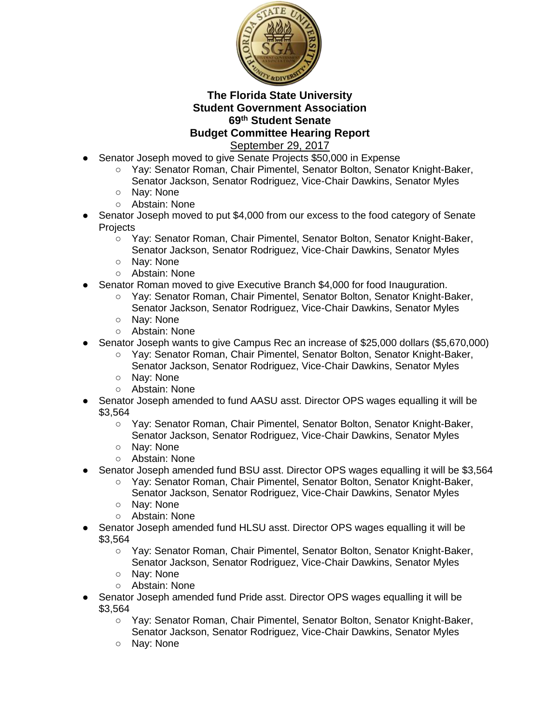

- Senator Joseph moved to give Senate Projects \$50,000 in Expense
	- Yay: Senator Roman, Chair Pimentel, Senator Bolton, Senator Knight-Baker,
		- Senator Jackson, Senator Rodriguez, Vice-Chair Dawkins, Senator Myles
	- Nav: None
	- Abstain: None
- Senator Joseph moved to put \$4,000 from our excess to the food category of Senate **Projects** 
	- Yay: Senator Roman, Chair Pimentel, Senator Bolton, Senator Knight-Baker, Senator Jackson, Senator Rodriguez, Vice-Chair Dawkins, Senator Myles
	- Nay: None
	- Abstain: None
- Senator Roman moved to give Executive Branch \$4,000 for food Inauguration.
	- Yay: Senator Roman, Chair Pimentel, Senator Bolton, Senator Knight-Baker, Senator Jackson, Senator Rodriguez, Vice-Chair Dawkins, Senator Myles
	- Nay: None
	- Abstain: None
- Senator Joseph wants to give Campus Rec an increase of \$25,000 dollars (\$5,670,000)
	- Yay: Senator Roman, Chair Pimentel, Senator Bolton, Senator Knight-Baker, Senator Jackson, Senator Rodriguez, Vice-Chair Dawkins, Senator Myles
	- Nay: None
	- Abstain: None
- Senator Joseph amended to fund AASU asst. Director OPS wages equalling it will be \$3,564
	- Yay: Senator Roman, Chair Pimentel, Senator Bolton, Senator Knight-Baker, Senator Jackson, Senator Rodriguez, Vice-Chair Dawkins, Senator Myles
	- Nay: None
	- Abstain: None
- Senator Joseph amended fund BSU asst. Director OPS wages equalling it will be \$3,564
	- Yay: Senator Roman, Chair Pimentel, Senator Bolton, Senator Knight-Baker, Senator Jackson, Senator Rodriguez, Vice-Chair Dawkins, Senator Myles
	- Nay: None
	- Abstain: None
- Senator Joseph amended fund HLSU asst. Director OPS wages equalling it will be \$3,564
	- Yay: Senator Roman, Chair Pimentel, Senator Bolton, Senator Knight-Baker, Senator Jackson, Senator Rodriguez, Vice-Chair Dawkins, Senator Myles
	- Nay: None
	- Abstain: None
- Senator Joseph amended fund Pride asst. Director OPS wages equalling it will be \$3,564
	- Yay: Senator Roman, Chair Pimentel, Senator Bolton, Senator Knight-Baker, Senator Jackson, Senator Rodriguez, Vice-Chair Dawkins, Senator Myles
	- Nay: None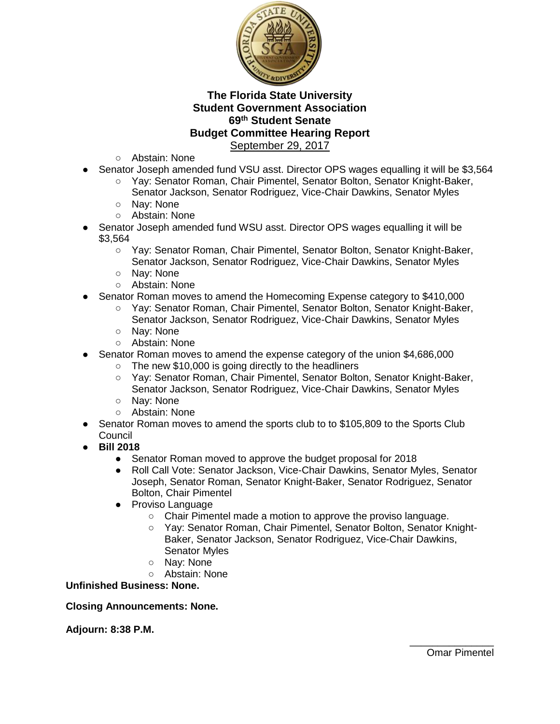

- Abstain: None
- Senator Joseph amended fund VSU asst. Director OPS wages equalling it will be \$3,564
	- Yay: Senator Roman, Chair Pimentel, Senator Bolton, Senator Knight-Baker, Senator Jackson, Senator Rodriguez, Vice-Chair Dawkins, Senator Myles
	- Nay: None
	- Abstain: None
- Senator Joseph amended fund WSU asst. Director OPS wages equalling it will be \$3,564
	- Yay: Senator Roman, Chair Pimentel, Senator Bolton, Senator Knight-Baker, Senator Jackson, Senator Rodriguez, Vice-Chair Dawkins, Senator Myles
	- Nay: None
	- Abstain: None
- Senator Roman moves to amend the Homecoming Expense category to \$410,000
	- Yay: Senator Roman, Chair Pimentel, Senator Bolton, Senator Knight-Baker, Senator Jackson, Senator Rodriguez, Vice-Chair Dawkins, Senator Myles
	- Nay: None
	- Abstain: None
- Senator Roman moves to amend the expense category of the union \$4,686,000
	- The new \$10,000 is going directly to the headliners
	- Yay: Senator Roman, Chair Pimentel, Senator Bolton, Senator Knight-Baker, Senator Jackson, Senator Rodriguez, Vice-Chair Dawkins, Senator Myles
	- Nay: None
	- Abstain: None
- Senator Roman moves to amend the sports club to to \$105,809 to the Sports Club Council
- **Bill 2018**
	- Senator Roman moved to approve the budget proposal for 2018
	- Roll Call Vote: Senator Jackson, Vice-Chair Dawkins, Senator Myles, Senator Joseph, Senator Roman, Senator Knight-Baker, Senator Rodriguez, Senator Bolton, Chair Pimentel
	- Proviso Language
		- Chair Pimentel made a motion to approve the proviso language.
		- Yay: Senator Roman, Chair Pimentel, Senator Bolton, Senator Knight-Baker, Senator Jackson, Senator Rodriguez, Vice-Chair Dawkins, Senator Myles
		- Nay: None
		- Abstain: None

**Unfinished Business: None.**

#### **Closing Announcements: None.**

#### **Adjourn: 8:38 P.M.**

\_\_\_\_\_\_\_\_\_\_\_\_\_\_\_